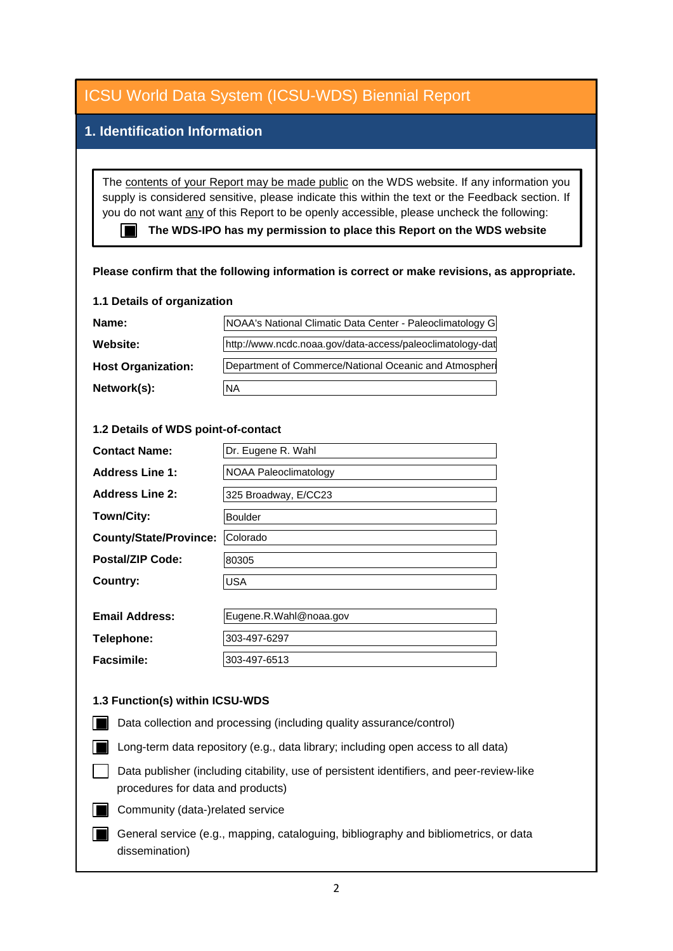### **1. Identification Information**

The contents of your Report may be made public on the WDS website. If any information you supply is considered sensitive, please indicate this within the text or the Feedback section. If you do not want any of this Report to be openly accessible, please uncheck the following:

■ The WDS-IPO has my permission to place this Report on the WDS website

#### **Please confirm that the following information is correct or make revisions, as appropriate.**

#### **1.1 Details of organization**

| Name:                     | NOAA's National Climatic Data Center - Paleoclimatology G |  |
|---------------------------|-----------------------------------------------------------|--|
| Website:                  | http://www.ncdc.noaa.gov/data-access/paleoclimatology-dat |  |
| <b>Host Organization:</b> | Department of Commerce/National Oceanic and Atmospher     |  |
| Network(s):               | <b>NA</b>                                                 |  |

#### **1.2 Details of WDS point-of-contact**

| Network(s):                         | <b>NA</b>              |
|-------------------------------------|------------------------|
|                                     |                        |
| 1.2 Details of WDS point-of-contact |                        |
| <b>Contact Name:</b>                | Dr. Eugene R. Wahl     |
| <b>Address Line 1:</b>              | NOAA Paleoclimatology  |
| <b>Address Line 2:</b>              | 325 Broadway, E/CC23   |
| Town/City:                          | <b>Boulder</b>         |
| <b>County/State/Province:</b>       | Colorado               |
| <b>Postal/ZIP Code:</b>             | 80305                  |
| <b>Country:</b>                     | <b>USA</b>             |
|                                     |                        |
| <b>Email Address:</b>               | Eugene.R.Wahl@noaa.gov |

| <b>Telephone:</b> | 303-497-6297 |
|-------------------|--------------|
| <b>Facsimile:</b> | 303-497-6513 |
|                   |              |

#### **1.3 Function(s) within ICSU-WDS**

- Data collection and processing (including quality assurance/control)
- Long-term data repository (e.g., data library; including open access to all data)
- Data publisher (including citability, use of persistent identifiers, and peer-review-like procedures for data and products)
- Community (data-)related service
- General service (e.g., mapping, cataloguing, bibliography and bibliometrics, or data dissemination)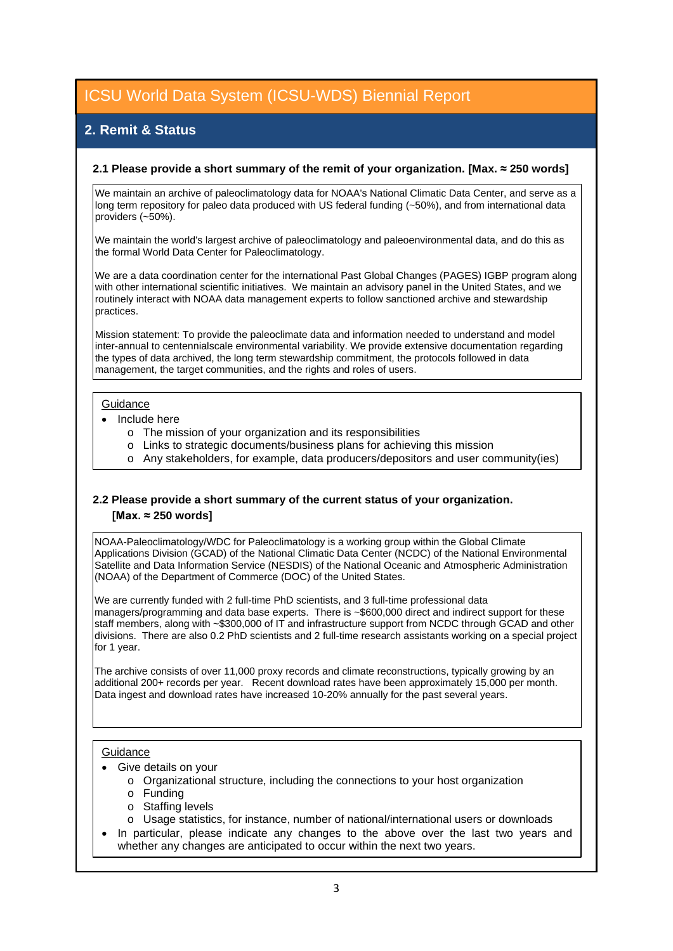## **2. Remit & Status**

#### **2.1 Please provide a short summary of the remit of your organization. [Max. ≈ 250 words]**

We maintain an archive of paleoclimatology data for NOAA's National Climatic Data Center, and serve as a long term repository for paleo data produced with US federal funding (~50%), and from international data providers (~50%).

We maintain the world's largest archive of paleoclimatology and paleoenvironmental data, and do this as the formal World Data Center for Paleoclimatology.

We are a data coordination center for the international Past Global Changes (PAGES) IGBP program along with other international scientific initiatives. We maintain an advisory panel in the United States, and we routinely interact with NOAA data management experts to follow sanctioned archive and stewardship practices.

Mission statement: To provide the paleoclimate data and information needed to understand and model inter-annual to centennialscale environmental variability. We provide extensive documentation regarding the types of data archived, the long term stewardship commitment, the protocols followed in data management, the target communities, and the rights and roles of users.

#### **Guidance**

- Include here
	- o The mission of your organization and its responsibilities
	- o Links to strategic documents/business plans for achieving this mission
	- o Any stakeholders, for example, data producers/depositors and user community(ies)

#### **2.2 Please provide a short summary of the current status of your organization. [Max. ≈ 250 words]**

NOAA-Paleoclimatology/WDC for Paleoclimatology is a working group within the Global Climate Applications Division (GCAD) of the National Climatic Data Center (NCDC) of the National Environmental Satellite and Data Information Service (NESDIS) of the National Oceanic and Atmospheric Administration (NOAA) of the Department of Commerce (DOC) of the United States.

We are currently funded with 2 full-time PhD scientists, and 3 full-time professional data managers/programming and data base experts. There is ~\$600,000 direct and indirect support for these staff members, along with ~\$300,000 of IT and infrastructure support from NCDC through GCAD and other divisions. There are also 0.2 PhD scientists and 2 full-time research assistants working on a special project for 1 year.

The archive consists of over 11,000 proxy records and climate reconstructions, typically growing by an additional 200+ records per year. Recent download rates have been approximately 15,000 per month. Data ingest and download rates have increased 10-20% annually for the past several years.

#### **Guidance**

- Give details on your
	- o Organizational structure, including the connections to your host organization
	- o Funding
	- o Staffing levels
	- o Usage statistics, for instance, number of national/international users or downloads
- In particular, please indicate any changes to the above over the last two years and whether any changes are anticipated to occur within the next two years.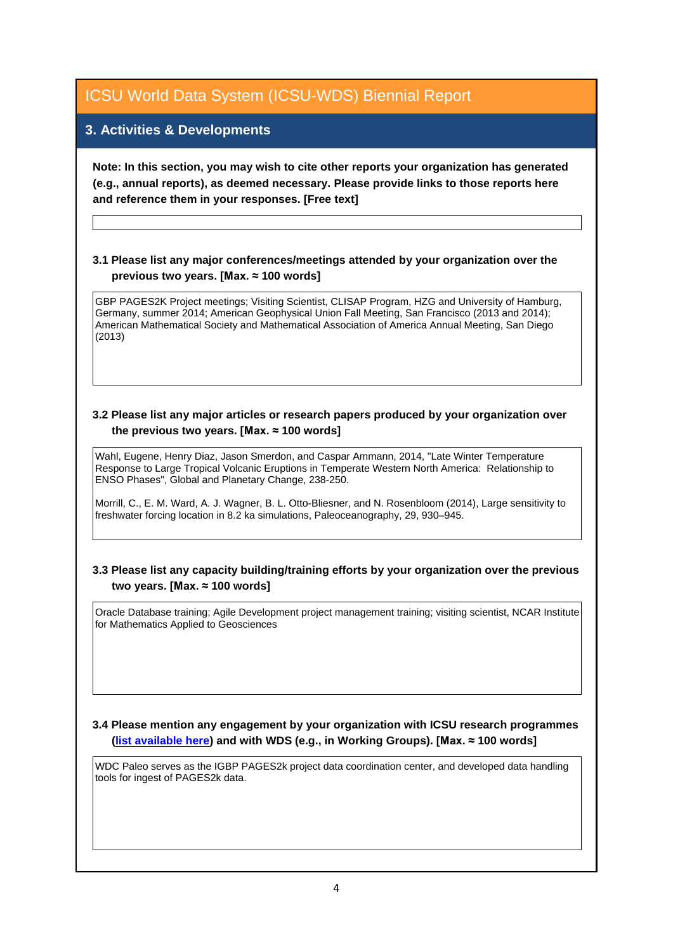### **3. Activities & Developments**

**Note: In this section, you may wish to cite other reports your organization has generated (e.g., annual reports), as deemed necessary. Please provide links to those reports here and reference them in your responses. [Free text]**

#### **3.1 Please list any major conferences/meetings attended by your organization over the previous two years. [Max. ≈ 100 words]**

GBP PAGES2K Project meetings; Visiting Scientist, CLISAP Program, HZG and University of Hamburg, Germany, summer 2014; American Geophysical Union Fall Meeting, San Francisco (2013 and 2014); American Mathematical Society and Mathematical Association of America Annual Meeting, San Diego (2013)

#### **3.2 Please list any major articles or research papers produced by your organization over the previous two years. [Max. ≈ 100 words]**

Wahl, Eugene, Henry Diaz, Jason Smerdon, and Caspar Ammann, 2014, "Late Winter Temperature Response to Large Tropical Volcanic Eruptions in Temperate Western North America: Relationship to ENSO Phases", Global and Planetary Change, 238-250.

Morrill, C., E. M. Ward, A. J. Wagner, B. L. Otto-Bliesner, and N. Rosenbloom (2014), Large sensitivity to freshwater forcing location in 8.2 ka simulations, Paleoceanography, 29, 930–945.

#### **3.3 Please list any capacity building/training efforts by your organization over the previous two years. [Max. ≈ 100 words]**

Oracle Database training; Agile Development project management training; visiting scientist, NCAR Institute for Mathematics Applied to Geosciences

#### **3.4 Please mention any engagement by your organization with ICSU research programmes [\(list available here\)](http://www.icsu.org/what-we-do/@@category_search?path=/icsu/what-we-do&Subject:list=International%20Research%20Collaboration) and with WDS (e.g., in Working Groups). [Max. ≈ 100 words]**

WDC Paleo serves as the IGBP PAGES2k project data coordination center, and developed data handling tools for ingest of PAGES2k data.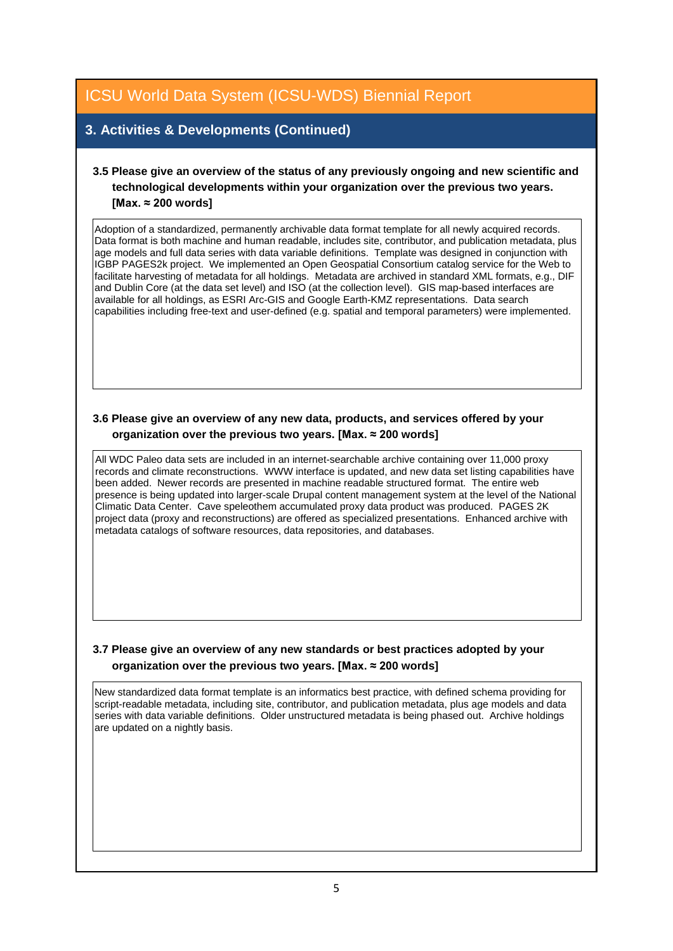### **3. Activities & Developments (Continued)**

### **3.5 Please give an overview of the status of any previously ongoing and new scientific and technological developments within your organization over the previous two years. [Max. ≈ 200 words]**

Adoption of a standardized, permanently archivable data format template for all newly acquired records. Data format is both machine and human readable, includes site, contributor, and publication metadata, plus age models and full data series with data variable definitions. Template was designed in conjunction with IGBP PAGES2k project. We implemented an Open Geospatial Consortium catalog service for the Web to facilitate harvesting of metadata for all holdings. Metadata are archived in standard XML formats, e.g., DIF and Dublin Core (at the data set level) and ISO (at the collection level). GIS map-based interfaces are available for all holdings, as ESRI Arc-GIS and Google Earth-KMZ representations. Data search capabilities including free-text and user-defined (e.g. spatial and temporal parameters) were implemented.

#### **3.6 Please give an overview of any new data, products, and services offered by your organization over the previous two years. [Max. ≈ 200 words]**

All WDC Paleo data sets are included in an internet-searchable archive containing over 11,000 proxy records and climate reconstructions. WWW interface is updated, and new data set listing capabilities have been added. Newer records are presented in machine readable structured format. The entire web presence is being updated into larger-scale Drupal content management system at the level of the National Climatic Data Center. Cave speleothem accumulated proxy data product was produced. PAGES 2K project data (proxy and reconstructions) are offered as specialized presentations. Enhanced archive with metadata catalogs of software resources, data repositories, and databases.

#### **3.7 Please give an overview of any new standards or best practices adopted by your organization over the previous two years. [Max. ≈ 200 words]**

New standardized data format template is an informatics best practice, with defined schema providing for script-readable metadata, including site, contributor, and publication metadata, plus age models and data series with data variable definitions. Older unstructured metadata is being phased out. Archive holdings are updated on a nightly basis.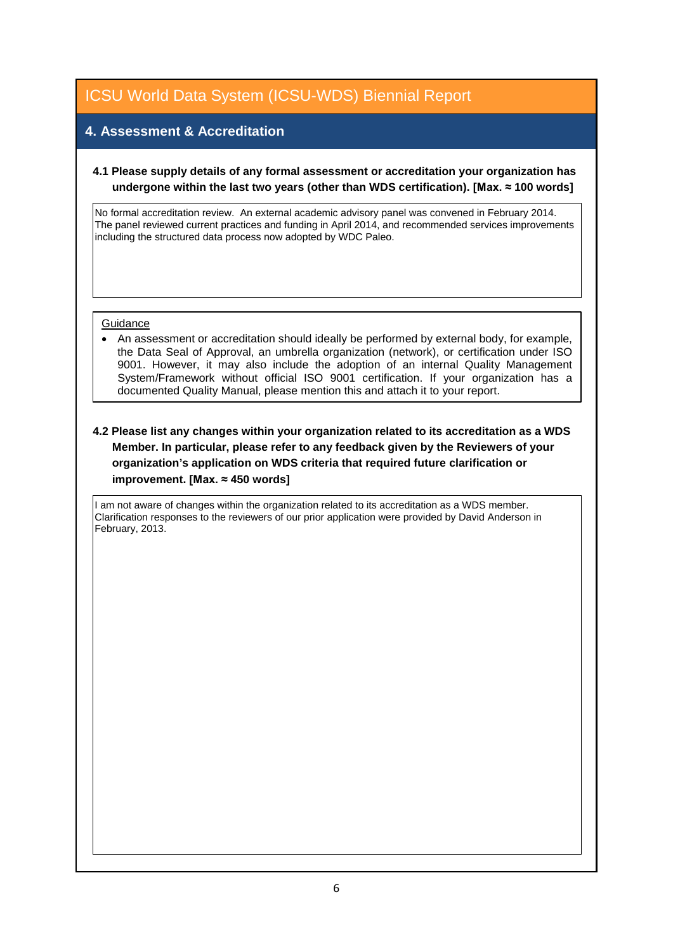## **4. Assessment & Accreditation**

#### **4.1 Please supply details of any formal assessment or accreditation your organization has undergone within the last two years (other than WDS certification). [Max. ≈ 100 words]**

No formal accreditation review. An external academic advisory panel was convened in February 2014. The panel reviewed current practices and funding in April 2014, and recommended services improvements including the structured data process now adopted by WDC Paleo.

#### **Guidance**

• An assessment or accreditation should ideally be performed by external body, for example, the Data Seal of Approval, an umbrella organization (network), or certification under ISO 9001. However, it may also include the adoption of an internal Quality Management System/Framework without official ISO 9001 certification. If your organization has a documented Quality Manual, please mention this and attach it to your report.

#### **4.2 Please list any changes within your organization related to its accreditation as a WDS Member. In particular, please refer to any feedback given by the Reviewers of your organization's application on WDS criteria that required future clarification or improvement. [Max. ≈ 450 words]**

I am not aware of changes within the organization related to its accreditation as a WDS member. Clarification responses to the reviewers of our prior application were provided by David Anderson in February, 2013.